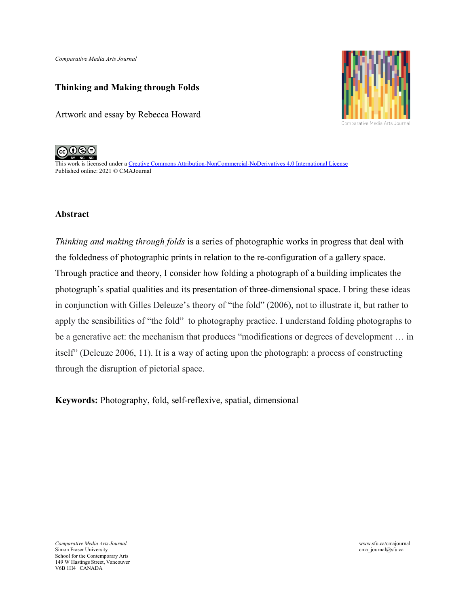*Comparative Media Arts Journal*

## **Thinking and Making through Folds**

Artwork and essay by Rebecca Howard





This work is licensed under a Creative Commons Attribution-NonCommercial-NoDerivatives 4.0 International License Published online: 2021 © CMAJournal

## **Abstract**

*Thinking and making through folds* is a series of photographic works in progress that deal with the foldedness of photographic prints in relation to the re-configuration of a gallery space. Through practice and theory, I consider how folding a photograph of a building implicates the photograph's spatial qualities and its presentation of three-dimensional space. I bring these ideas in conjunction with Gilles Deleuze's theory of "the fold" (2006), not to illustrate it, but rather to apply the sensibilities of "the fold" to photography practice. I understand folding photographs to be a generative act: the mechanism that produces "modifications or degrees of development … in itself" (Deleuze 2006, 11). It is a way of acting upon the photograph: a process of constructing through the disruption of pictorial space.

**Keywords:** Photography, fold, self-reflexive, spatial, dimensional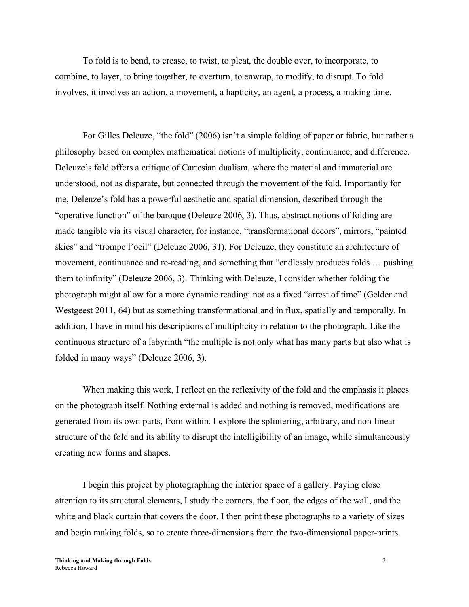To fold is to bend, to crease, to twist, to pleat, the double over, to incorporate, to combine, to layer, to bring together, to overturn, to enwrap, to modify, to disrupt. To fold involves, it involves an action, a movement, a hapticity, an agent, a process, a making time.

For Gilles Deleuze, "the fold" (2006) isn't a simple folding of paper or fabric, but rather a philosophy based on complex mathematical notions of multiplicity, continuance, and difference. Deleuze's fold offers a critique of Cartesian dualism, where the material and immaterial are understood, not as disparate, but connected through the movement of the fold. Importantly for me, Deleuze's fold has a powerful aesthetic and spatial dimension, described through the "operative function" of the baroque (Deleuze 2006, 3). Thus, abstract notions of folding are made tangible via its visual character, for instance, "transformational decors", mirrors, "painted skies" and "trompe l'oeil" (Deleuze 2006, 31). For Deleuze, they constitute an architecture of movement, continuance and re-reading, and something that "endlessly produces folds … pushing them to infinity" (Deleuze 2006, 3). Thinking with Deleuze, I consider whether folding the photograph might allow for a more dynamic reading: not as a fixed "arrest of time" (Gelder and Westgeest 2011, 64) but as something transformational and in flux, spatially and temporally. In addition, I have in mind his descriptions of multiplicity in relation to the photograph. Like the continuous structure of a labyrinth "the multiple is not only what has many parts but also what is folded in many ways" (Deleuze 2006, 3).

When making this work, I reflect on the reflexivity of the fold and the emphasis it places on the photograph itself. Nothing external is added and nothing is removed, modifications are generated from its own parts, from within. I explore the splintering, arbitrary, and non-linear structure of the fold and its ability to disrupt the intelligibility of an image, while simultaneously creating new forms and shapes.

I begin this project by photographing the interior space of a gallery. Paying close attention to its structural elements, I study the corners, the floor, the edges of the wall, and the white and black curtain that covers the door. I then print these photographs to a variety of sizes and begin making folds, so to create three-dimensions from the two-dimensional paper-prints.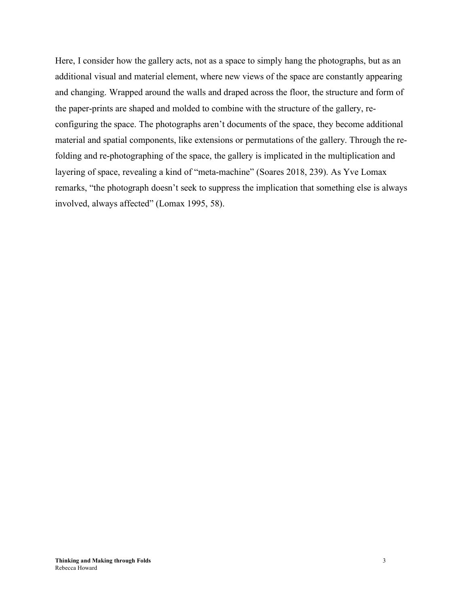Here, I consider how the gallery acts, not as a space to simply hang the photographs, but as an additional visual and material element, where new views of the space are constantly appearing and changing. Wrapped around the walls and draped across the floor, the structure and form of the paper-prints are shaped and molded to combine with the structure of the gallery, reconfiguring the space. The photographs aren't documents of the space, they become additional material and spatial components, like extensions or permutations of the gallery. Through the refolding and re-photographing of the space, the gallery is implicated in the multiplication and layering of space, revealing a kind of "meta-machine" (Soares 2018, 239). As Yve Lomax remarks, "the photograph doesn't seek to suppress the implication that something else is always involved, always affected" (Lomax 1995, 58).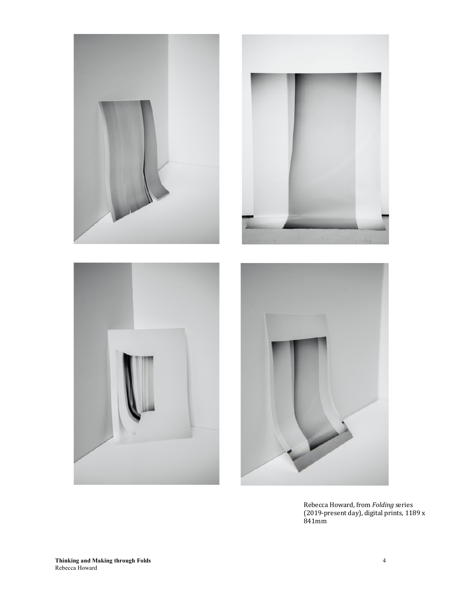







Rebecca Howard, from *Folding* series (2019-present day), digital prints, 1189 x 841mm